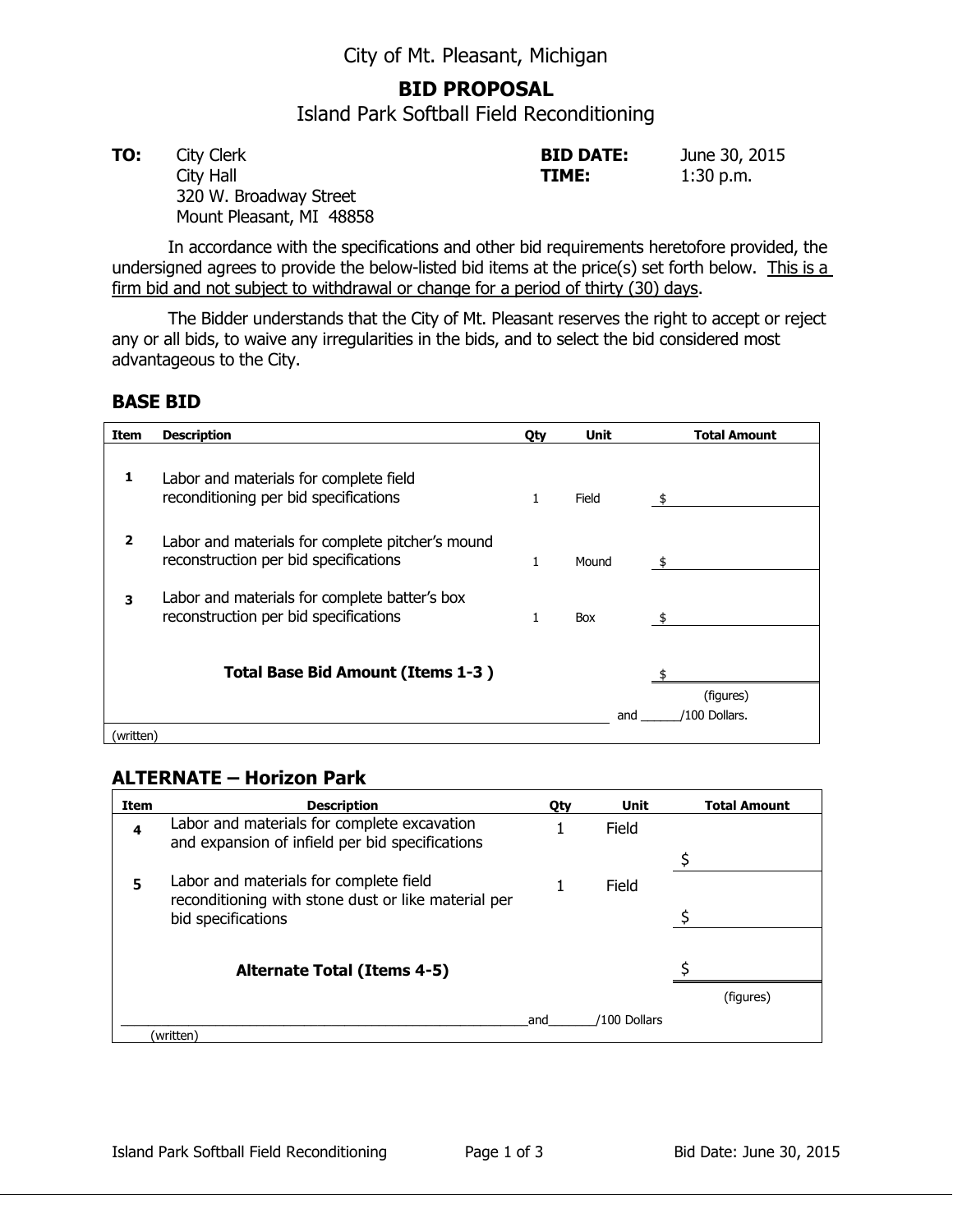## **BID PROPOSAL**

Island Park Softball Field Reconditioning

**TO:** City Clerk **BID DATE:** June 30, 2015 City Hall **TIME:** 1:30 p.m. 320 W. Broadway Street Mount Pleasant, MI 48858

In accordance with the specifications and other bid requirements heretofore provided, the undersigned agrees to provide the below-listed bid items at the price(s) set forth below. This is a firm bid and not subject to withdrawal or change for a period of thirty (30) days.

The Bidder understands that the City of Mt. Pleasant reserves the right to accept or reject any or all bids, to waive any irregularities in the bids, and to select the bid considered most advantageous to the City.

## **BASE BID**

| Item      | <b>Description</b>                                                                        | Oty | Unit  | <b>Total Amount</b>        |
|-----------|-------------------------------------------------------------------------------------------|-----|-------|----------------------------|
| 1         | Labor and materials for complete field<br>reconditioning per bid specifications           | 1   | Field |                            |
| 2         | Labor and materials for complete pitcher's mound<br>reconstruction per bid specifications |     | Mound |                            |
| 3         | Labor and materials for complete batter's box<br>reconstruction per bid specifications    |     | Box   |                            |
|           | <b>Total Base Bid Amount (Items 1-3)</b>                                                  |     |       |                            |
| (written) |                                                                                           |     | and   | (figures)<br>/100 Dollars. |

## **ALTERNATE – Horizon Park**

| Item | <b>Description</b>                                                                             | <b>Oty</b> | Unit         | <b>Total Amount</b> |
|------|------------------------------------------------------------------------------------------------|------------|--------------|---------------------|
| 4    | Labor and materials for complete excavation<br>and expansion of infield per bid specifications |            | Field        |                     |
|      |                                                                                                |            |              |                     |
| 5    | Labor and materials for complete field<br>reconditioning with stone dust or like material per  |            | Field        |                     |
|      | bid specifications                                                                             |            |              |                     |
|      |                                                                                                |            |              |                     |
|      | <b>Alternate Total (Items 4-5)</b>                                                             |            |              |                     |
|      |                                                                                                |            |              | (figures)           |
|      |                                                                                                | and        | /100 Dollars |                     |
|      | (written)                                                                                      |            |              |                     |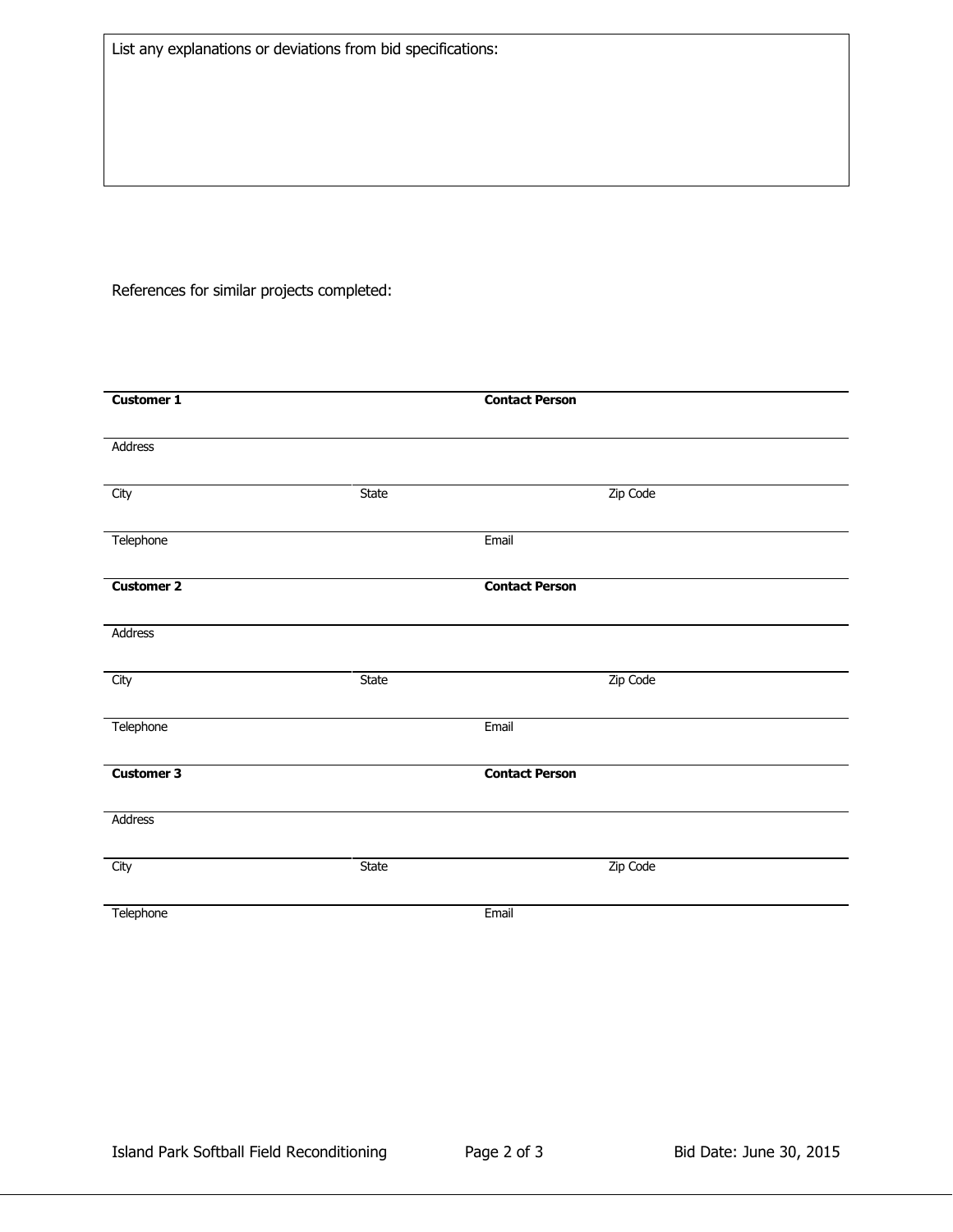References for similar projects completed:

| <b>Customer 1</b> |       | <b>Contact Person</b> |
|-------------------|-------|-----------------------|
|                   |       |                       |
| Address           |       |                       |
|                   |       |                       |
| City              | State | Zip Code              |
|                   |       |                       |
| Telephone         |       | Email                 |
|                   |       |                       |
|                   |       |                       |
| <b>Customer 2</b> |       | <b>Contact Person</b> |
|                   |       |                       |
| Address           |       |                       |
|                   |       |                       |
| City              | State | Zip Code              |
|                   |       |                       |
| Telephone         |       | Email                 |
|                   |       |                       |
| <b>Customer 3</b> |       | <b>Contact Person</b> |
|                   |       |                       |
|                   |       |                       |
| Address           |       |                       |
|                   |       |                       |
| City              | State | Zip Code              |
|                   |       |                       |
| Telephone         |       | Email                 |